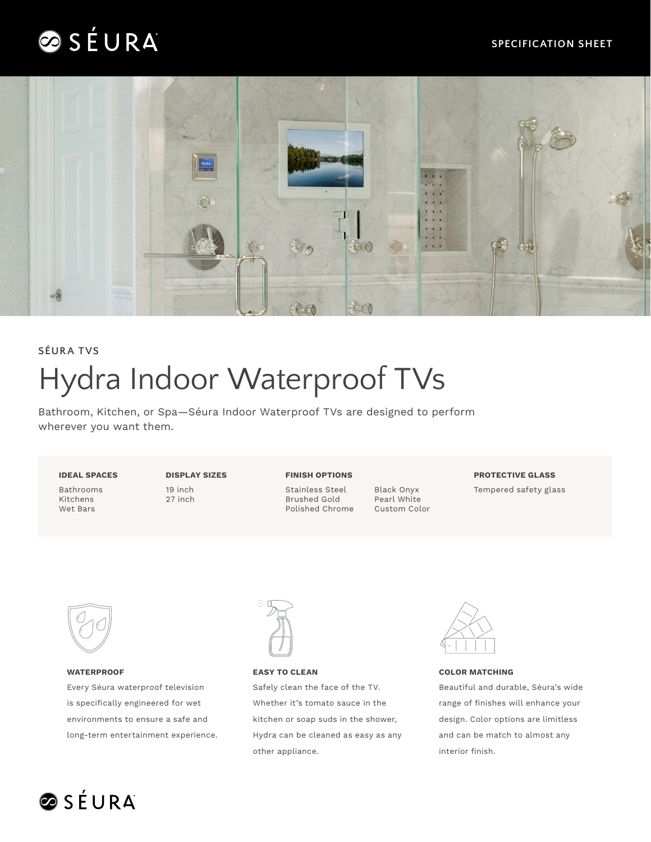



# **SÉURA TVS** Hydra Indoor Waterproof TVs

Bathroom, Kitchen, or Spa—Séura Indoor Waterproof TVs are designed to perform wherever you want them.

Kitchens Wet Bars

19 inch 27 inch

## **IDEAL SPACES DISPLAY SIZES PROTECTIVE GLASS FINISH OPTIONS**

Stainless Steel Brushed Gold Polished Chrome Black Onyx Pearl White Custom Color

Bathrooms 19 inch Stainless Steel Black Onyx Tempered safety glass



Every Séura waterproof television is specifically engineered for wet environments to ensure a safe and long-term entertainment experience.



Safely clean the face of the TV. Whether it's tomato sauce in the kitchen or soap suds in the shower, Hydra can be cleaned as easy as any other appliance.



**WATERPROOF EASY TO CLEAN COLOR MATCHING**

Beautiful and durable, Séura's wide range of finishes will enhance your design. Color options are limitless and can be match to almost any interior finish.